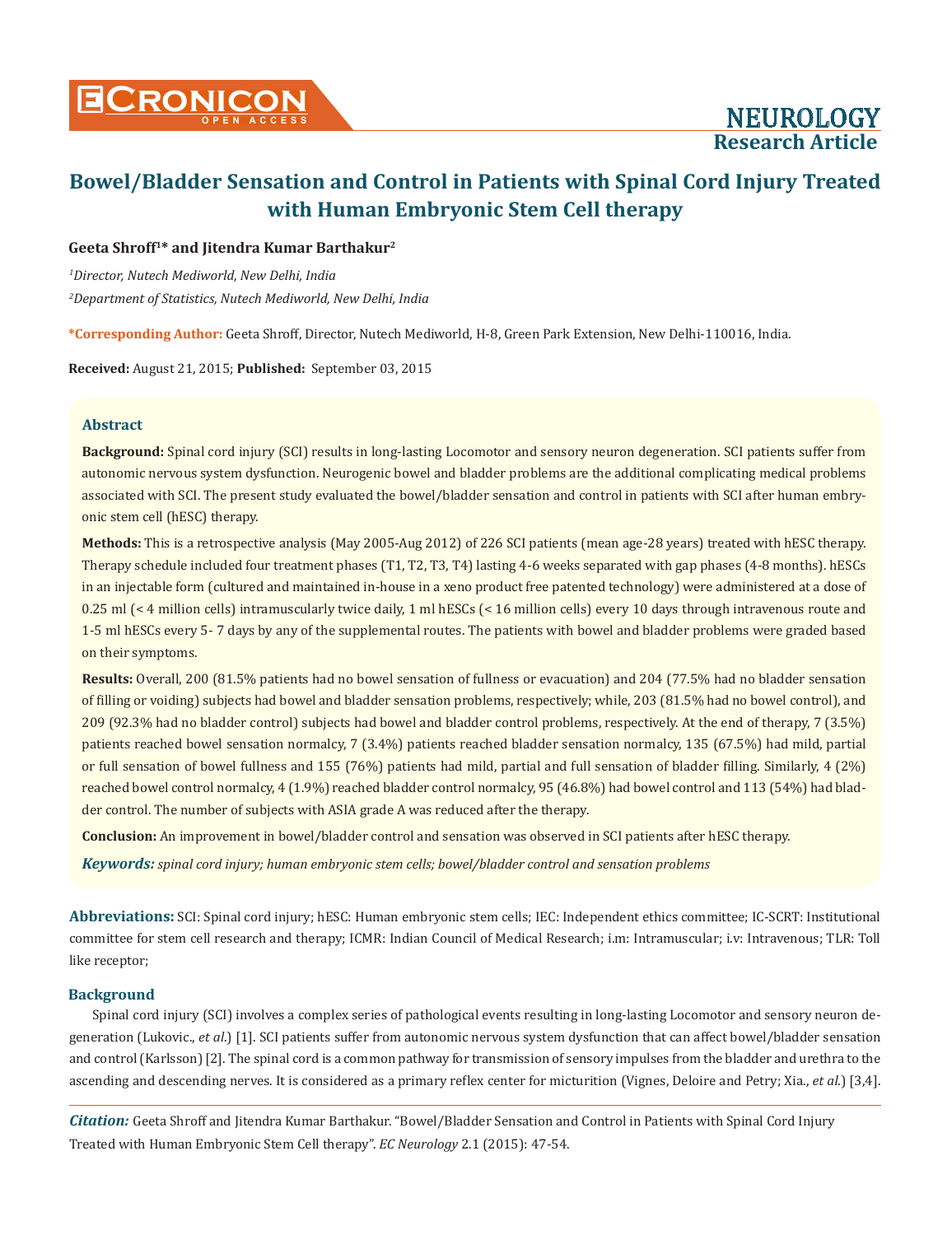## **Geeta Shroff1\* and Jitendra Kumar Barthakur2**

*1 Director, Nutech Mediworld, New Delhi, India 2 Department of Statistics, Nutech Mediworld, New Delhi, India*

**\*Corresponding Author:** Geeta Shroff, Director, Nutech Mediworld, H-8, Green Park Extension, New Delhi-110016, India.

**Received:** August 21, 2015; **Published:** September 03, 2015

# **Abstract**

**Background:** Spinal cord injury (SCI) results in long-lasting Locomotor and sensory neuron degeneration. SCI patients suffer from autonomic nervous system dysfunction. Neurogenic bowel and bladder problems are the additional complicating medical problems associated with SCI. The present study evaluated the bowel/bladder sensation and control in patients with SCI after human embryonic stem cell (hESC) therapy.

**Methods:** This is a retrospective analysis (May 2005-Aug 2012) of 226 SCI patients (mean age-28 years) treated with hESC therapy. Therapy schedule included four treatment phases (T1, T2, T3, T4) lasting 4-6 weeks separated with gap phases (4-8 months). hESCs in an injectable form (cultured and maintained in-house in a xeno product free patented technology) were administered at a dose of 0.25 ml (< 4 million cells) intramuscularly twice daily, 1 ml hESCs (< 16 million cells) every 10 days through intravenous route and 1-5 ml hESCs every 5- 7 days by any of the supplemental routes. The patients with bowel and bladder problems were graded based on their symptoms.

**Results:** Overall, 200 (81.5% patients had no bowel sensation of fullness or evacuation) and 204 (77.5% had no bladder sensation of filling or voiding) subjects had bowel and bladder sensation problems, respectively; while, 203 (81.5% had no bowel control), and 209 (92.3% had no bladder control) subjects had bowel and bladder control problems, respectively. At the end of therapy, 7 (3.5%) patients reached bowel sensation normalcy, 7 (3.4%) patients reached bladder sensation normalcy, 135 (67.5%) had mild, partial or full sensation of bowel fullness and 155 (76%) patients had mild, partial and full sensation of bladder filling. Similarly, 4 (2%) reached bowel control normalcy, 4 (1.9%) reached bladder control normalcy, 95 (46.8%) had bowel control and 113 (54%) had bladder control. The number of subjects with ASIA grade A was reduced after the therapy.

**Conclusion:** An improvement in bowel/bladder control and sensation was observed in SCI patients after hESC therapy.

*Keywords: spinal cord injury; human embryonic stem cells; bowel/bladder control and sensation problems*

**Abbreviations:** SCI: Spinal cord injury; hESC: Human embryonic stem cells; IEC: Independent ethics committee; IC-SCRT: Institutional committee for stem cell research and therapy; ICMR: Indian Council of Medical Research; i.m: Intramuscular; i.v: Intravenous; TLR: Toll like receptor;

## **Background**

Spinal cord injury (SCI) involves a complex series of pathological events resulting in long-lasting Locomotor and sensory neuron degeneration (Lukovic., *et al*.) [1]. SCI patients suffer from autonomic nervous system dysfunction that can affect bowel/bladder sensation and control (Karlsson) [2]. The spinal cord is a common pathway for transmission of sensory impulses from the bladder and urethra to the ascending and descending nerves. It is considered as a primary reflex center for micturition (Vignes, Deloire and Petry; Xia., *et al*.) [3,4].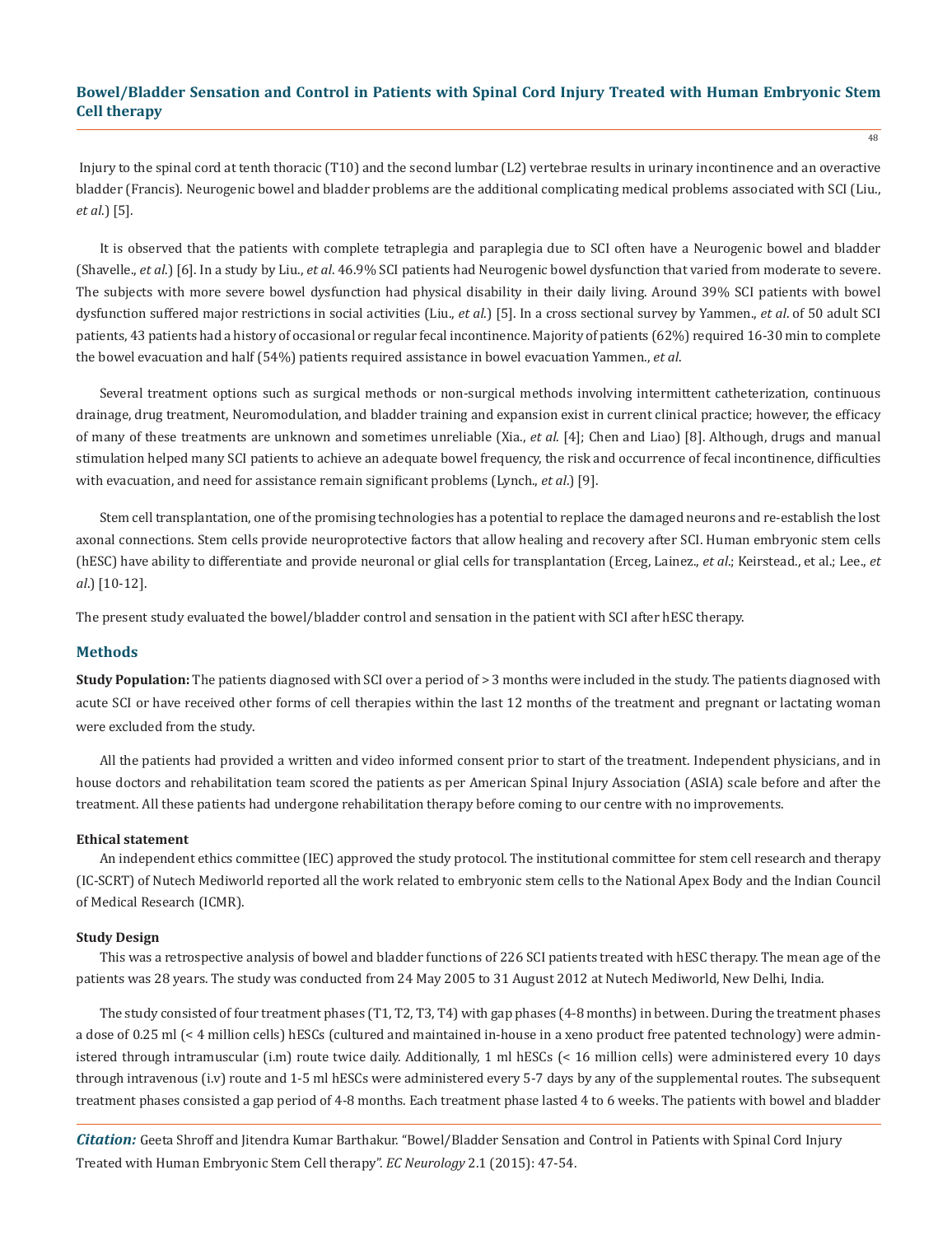Injury to the spinal cord at tenth thoracic (T10) and the second lumbar (L2) vertebrae results in urinary incontinence and an overactive bladder (Francis). Neurogenic bowel and bladder problems are the additional complicating medical problems associated with SCI (Liu., *et al*.) [5].

It is observed that the patients with complete tetraplegia and paraplegia due to SCI often have a Neurogenic bowel and bladder (Shavelle., *et al*.) [6]. In a study by Liu., *et al*. 46.9% SCI patients had Neurogenic bowel dysfunction that varied from moderate to severe. The subjects with more severe bowel dysfunction had physical disability in their daily living. Around 39% SCI patients with bowel dysfunction suffered major restrictions in social activities (Liu., *et al*.) [5]. In a cross sectional survey by Yammen., *et al*. of 50 adult SCI patients, 43 patients had a history of occasional or regular fecal incontinence. Majority of patients (62%) required 16-30 min to complete the bowel evacuation and half (54%) patients required assistance in bowel evacuation Yammen., *et al*.

Several treatment options such as surgical methods or non-surgical methods involving intermittent catheterization, continuous drainage, drug treatment, Neuromodulation, and bladder training and expansion exist in current clinical practice; however, the efficacy of many of these treatments are unknown and sometimes unreliable (Xia., *et al*. [4]; Chen and Liao) [8]. Although, drugs and manual stimulation helped many SCI patients to achieve an adequate bowel frequency, the risk and occurrence of fecal incontinence, difficulties with evacuation, and need for assistance remain significant problems (Lynch., *et al*.) [9].

Stem cell transplantation, one of the promising technologies has a potential to replace the damaged neurons and re-establish the lost axonal connections. Stem cells provide neuroprotective factors that allow healing and recovery after SCI. Human embryonic stem cells (hESC) have ability to differentiate and provide neuronal or glial cells for transplantation (Erceg, Lainez., *et al*.; Keirstead., et al.; Lee., *et al*.) [10-12].

The present study evaluated the bowel/bladder control and sensation in the patient with SCI after hESC therapy.

#### **Methods**

**Study Population:** The patients diagnosed with SCI over a period of > 3 months were included in the study. The patients diagnosed with acute SCI or have received other forms of cell therapies within the last 12 months of the treatment and pregnant or lactating woman were excluded from the study.

All the patients had provided a written and video informed consent prior to start of the treatment. Independent physicians, and in house doctors and rehabilitation team scored the patients as per American Spinal Injury Association (ASIA) scale before and after the treatment. All these patients had undergone rehabilitation therapy before coming to our centre with no improvements.

#### **Ethical statement**

An independent ethics committee (IEC) approved the study protocol. The institutional committee for stem cell research and therapy (IC-SCRT) of Nutech Mediworld reported all the work related to embryonic stem cells to the National Apex Body and the Indian Council of Medical Research (ICMR).

## **Study Design**

This was a retrospective analysis of bowel and bladder functions of 226 SCI patients treated with hESC therapy. The mean age of the patients was 28 years. The study was conducted from 24 May 2005 to 31 August 2012 at Nutech Mediworld, New Delhi, India.

The study consisted of four treatment phases (T1, T2, T3, T4) with gap phases (4-8 months) in between. During the treatment phases a dose of 0.25 ml (< 4 million cells) hESCs (cultured and maintained in-house in a xeno product free patented technology) were administered through intramuscular (i.m) route twice daily. Additionally, 1 ml hESCs (< 16 million cells) were administered every 10 days through intravenous (i.v) route and 1-5 ml hESCs were administered every 5-7 days by any of the supplemental routes. The subsequent treatment phases consisted a gap period of 4-8 months. Each treatment phase lasted 4 to 6 weeks. The patients with bowel and bladder

*Citation:* Geeta Shroff and Jitendra Kumar Barthakur. "Bowel/Bladder Sensation and Control in Patients with Spinal Cord Injury Treated with Human Embryonic Stem Cell therapy". *EC Neurology* 2.1 (2015): 47-54.

 $\overline{48}$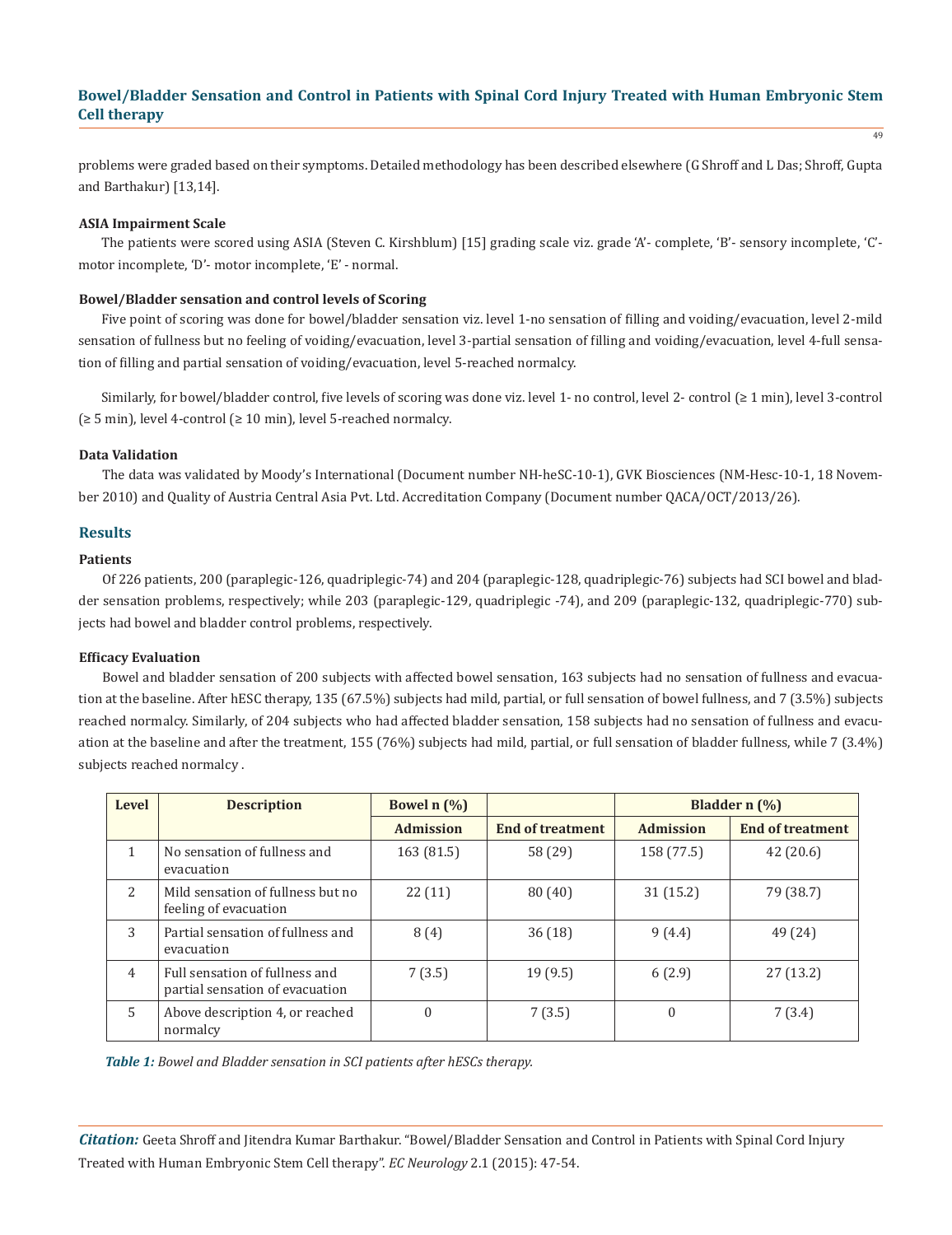49

problems were graded based on their symptoms. Detailed methodology has been described elsewhere (G Shroff and L Das; Shroff, Gupta and Barthakur) [13,14].

#### **ASIA Impairment Scale**

The patients were scored using ASIA (Steven C. Kirshblum) [15] grading scale viz. grade 'A'- complete, 'B'- sensory incomplete, 'C' motor incomplete, 'D'- motor incomplete, 'E' - normal.

#### **Bowel/Bladder sensation and control levels of Scoring**

Five point of scoring was done for bowel/bladder sensation viz. level 1-no sensation of filling and voiding/evacuation, level 2-mild sensation of fullness but no feeling of voiding/evacuation, level 3-partial sensation of filling and voiding/evacuation, level 4-full sensation of filling and partial sensation of voiding/evacuation, level 5-reached normalcy.

Similarly, for bowel/bladder control, five levels of scoring was done viz. level 1- no control, level 2- control (≥ 1 min), level 3-control (≥ 5 min), level 4-control (≥ 10 min), level 5-reached normalcy.

#### **Data Validation**

The data was validated by Moody's International (Document number NH-heSC-10-1), GVK Biosciences (NM-Hesc-10-1, 18 November 2010) and Quality of Austria Central Asia Pvt. Ltd. Accreditation Company (Document number QACA/OCT/2013/26).

## **Results**

#### **Patients**

Of 226 patients, 200 (paraplegic-126, quadriplegic-74) and 204 (paraplegic-128, quadriplegic-76) subjects had SCI bowel and bladder sensation problems, respectively; while 203 (paraplegic-129, quadriplegic -74), and 209 (paraplegic-132, quadriplegic-770) subjects had bowel and bladder control problems, respectively.

## **Efficacy Evaluation**

Bowel and bladder sensation of 200 subjects with affected bowel sensation, 163 subjects had no sensation of fullness and evacuation at the baseline. After hESC therapy, 135 (67.5%) subjects had mild, partial, or full sensation of bowel fullness, and 7 (3.5%) subjects reached normalcy. Similarly, of 204 subjects who had affected bladder sensation, 158 subjects had no sensation of fullness and evacuation at the baseline and after the treatment, 155 (76%) subjects had mild, partial, or full sensation of bladder fullness, while 7 (3.4%) subjects reached normalcy .

| Level          | <b>Description</b>                                                | Bowel $n$ $(\%)$ |                         | Bladder $n$ $\left(\frac{9}{6}\right)$ |                         |  |
|----------------|-------------------------------------------------------------------|------------------|-------------------------|----------------------------------------|-------------------------|--|
|                |                                                                   | <b>Admission</b> | <b>End of treatment</b> | <b>Admission</b>                       | <b>End of treatment</b> |  |
| $\mathbf{1}$   | No sensation of fullness and<br>evacuation                        | 163 (81.5)       | 58 (29)                 | 158 (77.5)                             | 42(20.6)                |  |
| $\mathcal{L}$  | Mild sensation of fullness but no<br>feeling of evacuation        | 22(11)           | 80(40)                  | 31(15.2)                               | 79 (38.7)               |  |
| 3              | Partial sensation of fullness and<br>evacuation                   | 8(4)             | 36(18)                  | 9(4.4)                                 | 49 (24)                 |  |
| $\overline{4}$ | Full sensation of fullness and<br>partial sensation of evacuation | 7(3.5)           | 19(9.5)                 | 6(2.9)                                 | 27(13.2)                |  |
| 5              | Above description 4, or reached<br>normalcy                       | $\theta$         | 7(3.5)                  | $\theta$                               | 7(3.4)                  |  |

*Table 1: Bowel and Bladder sensation in SCI patients after hESCs therapy.*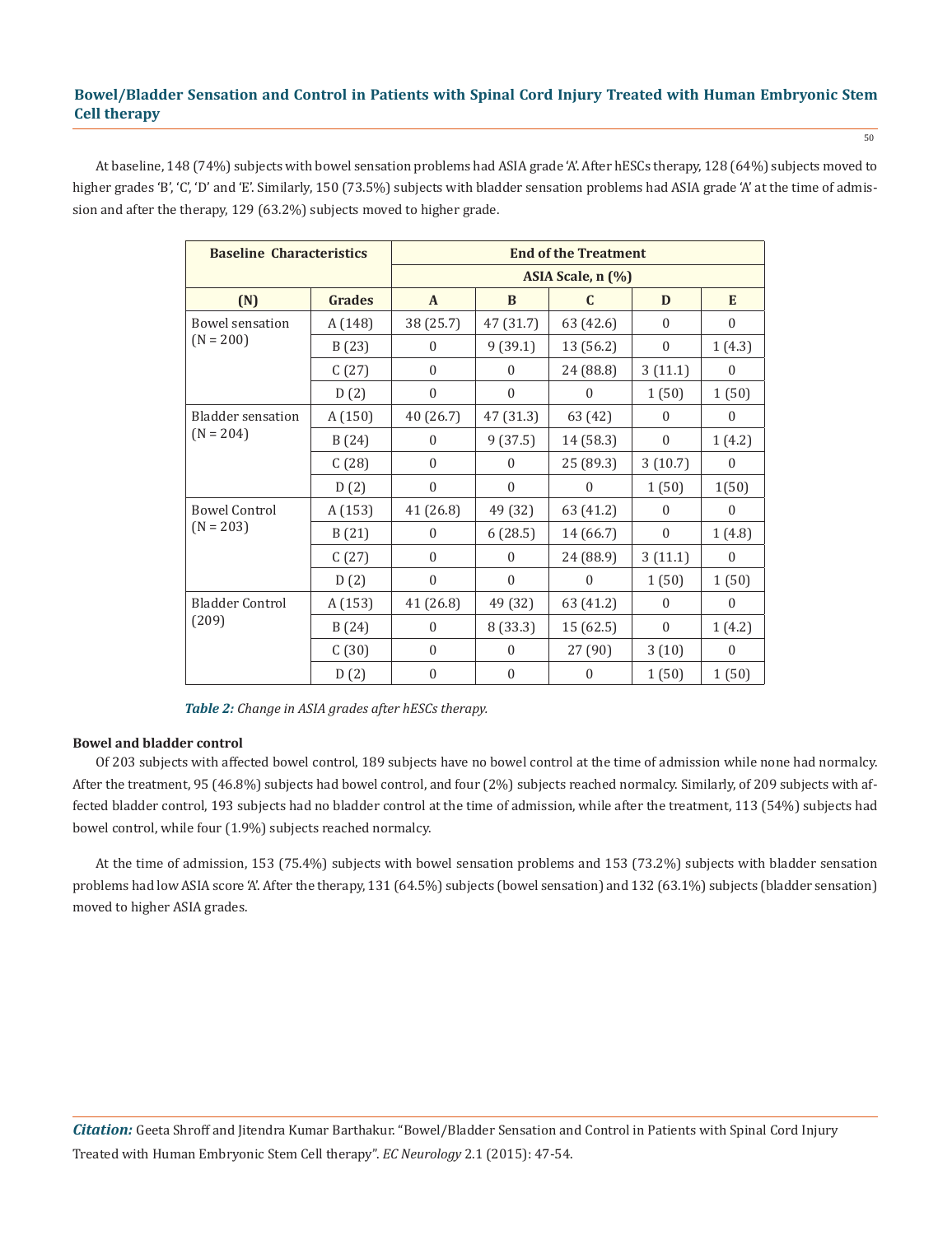At baseline, 148 (74%) subjects with bowel sensation problems had ASIA grade 'A'. After hESCs therapy, 128 (64%) subjects moved to higher grades 'B', 'C', 'D' and 'E'. Similarly, 150 (73.5%) subjects with bladder sensation problems had ASIA grade 'A' at the time of admission and after the therapy, 129 (63.2%) subjects moved to higher grade.

| <b>Baseline Characteristics</b> | <b>End of the Treatment</b> |                  |                  |              |                  |                  |  |
|---------------------------------|-----------------------------|------------------|------------------|--------------|------------------|------------------|--|
|                                 | ASIA Scale, n (%)           |                  |                  |              |                  |                  |  |
| (N)                             | <b>Grades</b>               | $\mathbf{A}$     | B                | C            | D                | E                |  |
| Bowel sensation                 | A (148)                     | 38 (25.7)        | 47 (31.7)        | 63 (42.6)    | $\mathbf{0}$     | $\boldsymbol{0}$ |  |
| $(N = 200)$                     | B(23)                       | $\Omega$         | 9(39.1)          | 13 (56.2)    | $\mathbf{0}$     | 1(4.3)           |  |
|                                 | C(27)                       | $\mathbf{0}$     | $\mathbf{0}$     | 24 (88.8)    | 3(11.1)          | $\boldsymbol{0}$ |  |
|                                 | D(2)                        | $\boldsymbol{0}$ | $\boldsymbol{0}$ | $\mathbf{0}$ | 1(50)            | 1(50)            |  |
| <b>Bladder</b> sensation        | A(150)                      | 40 (26.7)        | 47 (31.3)        | 63 (42)      | $\boldsymbol{0}$ | $\boldsymbol{0}$ |  |
| $(N = 204)$                     | B(24)                       | $\mathbf{0}$     | 9(37.5)          | 14 (58.3)    | $\mathbf{0}$     | 1(4.2)           |  |
|                                 | C(28)                       | $\mathbf{0}$     | $\mathbf{0}$     | 25 (89.3)    | 3(10.7)          | $\theta$         |  |
|                                 | D(2)                        | $\boldsymbol{0}$ | $\boldsymbol{0}$ | 0            | 1(50)            | 1(50)            |  |
| <b>Bowel Control</b>            | A (153)                     | 41 (26.8)        | 49 (32)          | 63 (41.2)    | $\mathbf{0}$     | $\boldsymbol{0}$ |  |
| $(N = 203)$                     | B(21)                       | $\boldsymbol{0}$ | 6(28.5)          | 14 (66.7)    | $\mathbf{0}$     | 1(4.8)           |  |
|                                 | C(27)                       | $\mathbf{0}$     | $\boldsymbol{0}$ | 24 (88.9)    | 3(11.1)          | $\theta$         |  |
|                                 | D(2)                        | $\mathbf{0}$     | $\theta$         | 0            | 1(50)            | 1(50)            |  |
| <b>Bladder Control</b>          | A(153)                      | 41 (26.8)        | 49 (32)          | 63 (41.2)    | $\Omega$         | $\theta$         |  |
| (209)                           | B(24)                       | $\mathbf{0}$     | 8 (33.3)         | 15 (62.5)    | $\Omega$         | 1(4.2)           |  |
|                                 | C(30)                       | $\mathbf{0}$     | $\mathbf{0}$     | 27 (90)      | 3(10)            | $\mathbf{0}$     |  |
|                                 | D(2)                        | $\mathbf{0}$     | $\boldsymbol{0}$ | $\theta$     | 1(50)            | 1(50)            |  |

*Table 2: Change in ASIA grades after hESCs therapy.*

## **Bowel and bladder control**

Of 203 subjects with affected bowel control, 189 subjects have no bowel control at the time of admission while none had normalcy. After the treatment, 95 (46.8%) subjects had bowel control, and four (2%) subjects reached normalcy. Similarly, of 209 subjects with affected bladder control, 193 subjects had no bladder control at the time of admission, while after the treatment, 113 (54%) subjects had bowel control, while four (1.9%) subjects reached normalcy.

At the time of admission, 153 (75.4%) subjects with bowel sensation problems and 153 (73.2%) subjects with bladder sensation problems had low ASIA score 'A'. After the therapy, 131 (64.5%) subjects (bowel sensation) and 132 (63.1%) subjects (bladder sensation) moved to higher ASIA grades.

50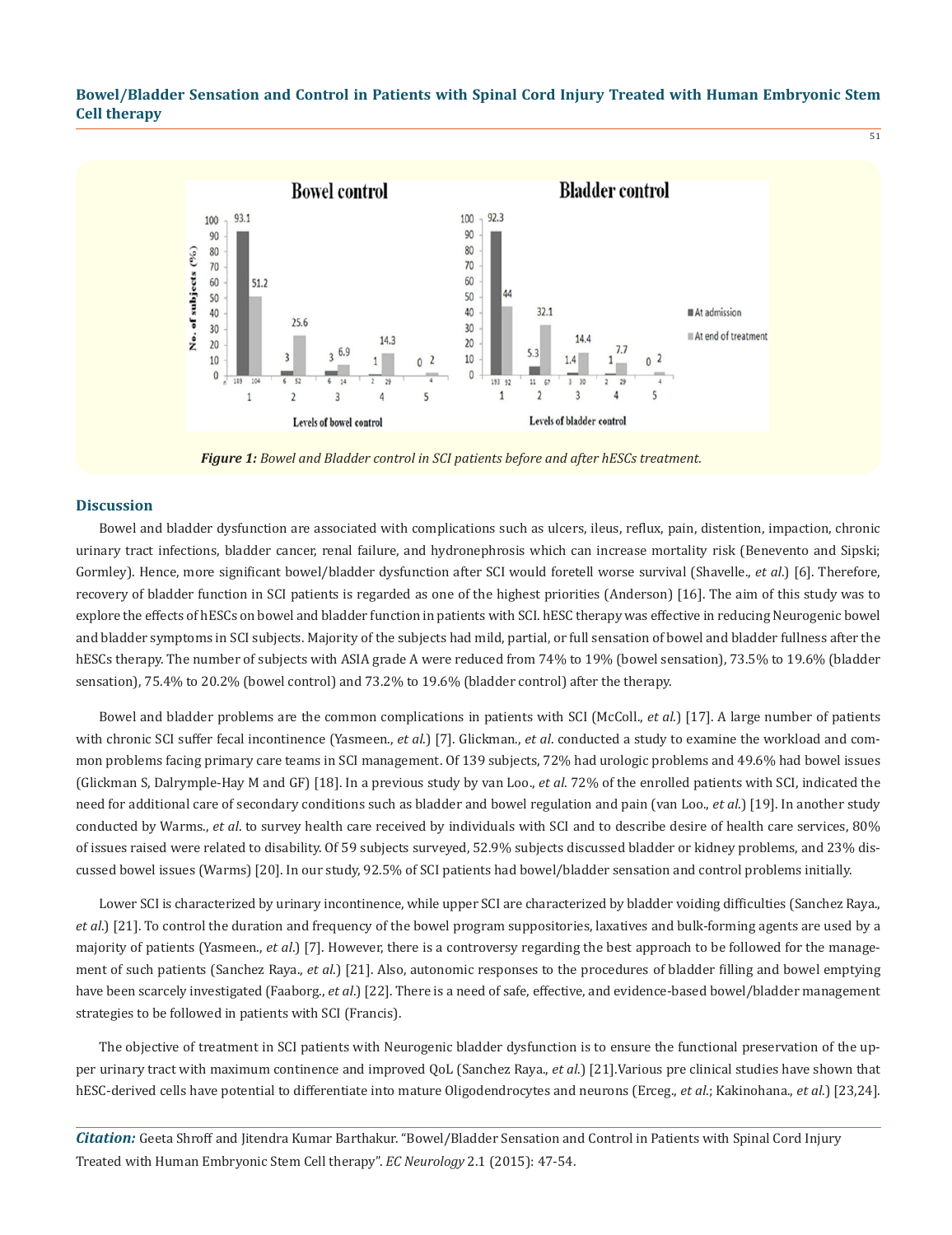51



*Figure 1: Bowel and Bladder control in SCI patients before and after hESCs treatment.*

#### **Discussion**

Bowel and bladder dysfunction are associated with complications such as ulcers, ileus, reflux, pain, distention, impaction, chronic urinary tract infections, bladder cancer, renal failure, and hydronephrosis which can increase mortality risk (Benevento and Sipski; Gormley). Hence, more significant bowel/bladder dysfunction after SCI would foretell worse survival (Shavelle., *et al*.) [6]. Therefore, recovery of bladder function in SCI patients is regarded as one of the highest priorities (Anderson) [16]. The aim of this study was to explore the effects of hESCs on bowel and bladder function in patients with SCI. hESC therapy was effective in reducing Neurogenic bowel and bladder symptoms in SCI subjects. Majority of the subjects had mild, partial, or full sensation of bowel and bladder fullness after the hESCs therapy. The number of subjects with ASIA grade A were reduced from 74% to 19% (bowel sensation), 73.5% to 19.6% (bladder sensation), 75.4% to 20.2% (bowel control) and 73.2% to 19.6% (bladder control) after the therapy.

Bowel and bladder problems are the common complications in patients with SCI (McColl., *et al*.) [17]. A large number of patients with chronic SCI suffer fecal incontinence (Yasmeen., *et al*.) [7]. Glickman., *et al*. conducted a study to examine the workload and common problems facing primary care teams in SCI management. Of 139 subjects, 72% had urologic problems and 49.6% had bowel issues (Glickman S, Dalrymple-Hay M and GF) [18]. In a previous study by van Loo., *et al*. 72% of the enrolled patients with SCI, indicated the need for additional care of secondary conditions such as bladder and bowel regulation and pain (van Loo., *et al*.) [19]. In another study conducted by Warms., *et al*. to survey health care received by individuals with SCI and to describe desire of health care services, 80% of issues raised were related to disability. Of 59 subjects surveyed, 52.9% subjects discussed bladder or kidney problems, and 23% discussed bowel issues (Warms) [20]. In our study, 92.5% of SCI patients had bowel/bladder sensation and control problems initially.

Lower SCI is characterized by urinary incontinence, while upper SCI are characterized by bladder voiding difficulties (Sanchez Raya., *et al*.) [21]. To control the duration and frequency of the bowel program suppositories, laxatives and bulk-forming agents are used by a majority of patients (Yasmeen., *et al*.) [7]. However, there is a controversy regarding the best approach to be followed for the management of such patients (Sanchez Raya., *et al*.) [21]. Also, autonomic responses to the procedures of bladder filling and bowel emptying have been scarcely investigated (Faaborg., *et al*.) [22]. There is a need of safe, effective, and evidence-based bowel/bladder management strategies to be followed in patients with SCI (Francis).

The objective of treatment in SCI patients with Neurogenic bladder dysfunction is to ensure the functional preservation of the upper urinary tract with maximum continence and improved QoL (Sanchez Raya., *et al*.) [21].Various pre clinical studies have shown that hESC-derived cells have potential to differentiate into mature Oligodendrocytes and neurons (Erceg., *et al*.; Kakinohana., *et al*.) [23,24].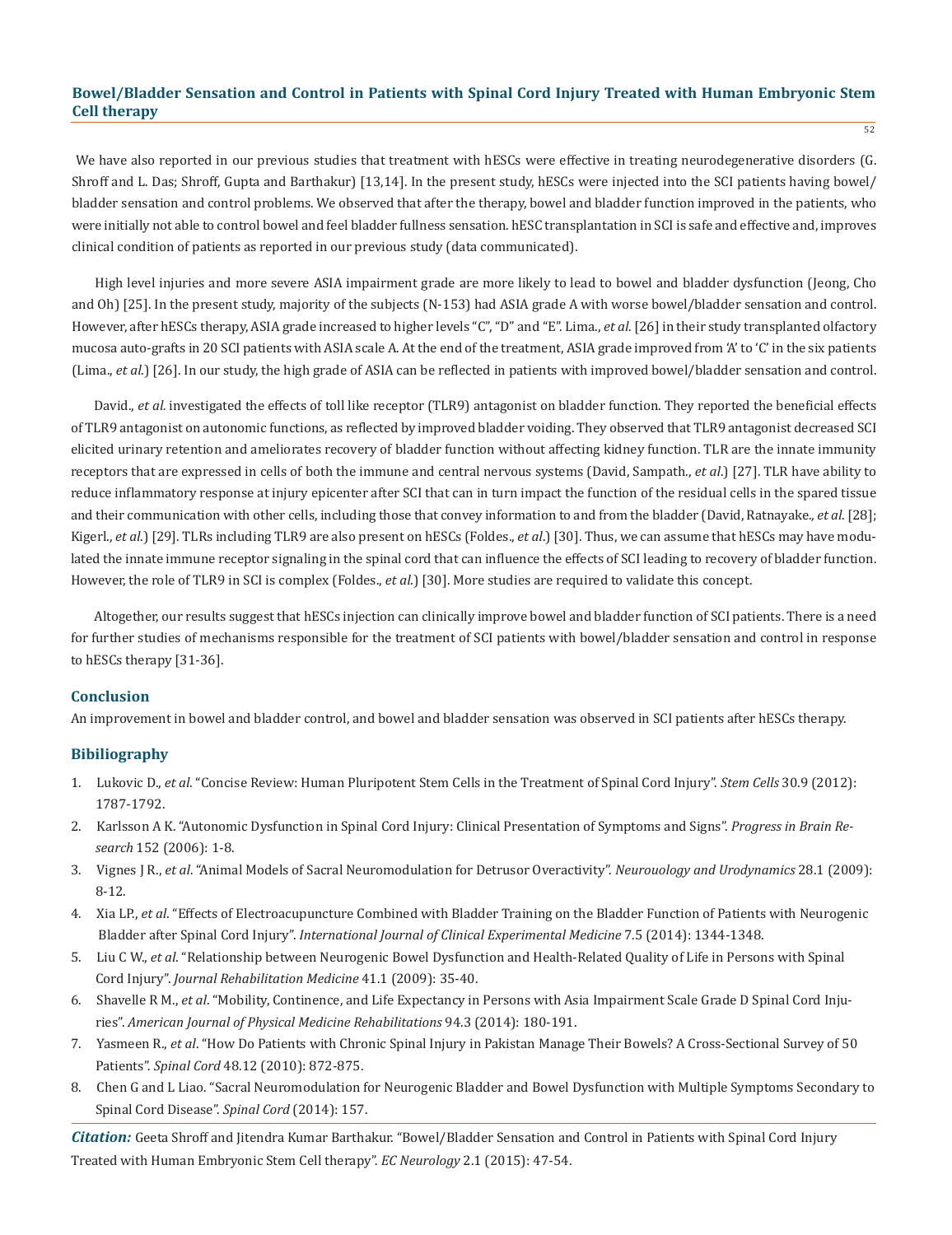We have also reported in our previous studies that treatment with hESCs were effective in treating neurodegenerative disorders (G. Shroff and L. Das; Shroff, Gupta and Barthakur) [13,14]. In the present study, hESCs were injected into the SCI patients having bowel/ bladder sensation and control problems. We observed that after the therapy, bowel and bladder function improved in the patients, who were initially not able to control bowel and feel bladder fullness sensation. hESC transplantation in SCI is safe and effective and, improves clinical condition of patients as reported in our previous study (data communicated).

High level injuries and more severe ASIA impairment grade are more likely to lead to bowel and bladder dysfunction (Jeong, Cho and Oh) [25]. In the present study, majority of the subjects (N-153) had ASIA grade A with worse bowel/bladder sensation and control. However, after hESCs therapy, ASIA grade increased to higher levels "C", "D" and "E". Lima., *et al*. [26] in their study transplanted olfactory mucosa auto-grafts in 20 SCI patients with ASIA scale A. At the end of the treatment, ASIA grade improved from 'A' to 'C' in the six patients (Lima., *et al*.) [26]. In our study, the high grade of ASIA can be reflected in patients with improved bowel/bladder sensation and control.

David., *et al.* investigated the effects of toll like receptor (TLR9) antagonist on bladder function. They reported the beneficial effects of TLR9 antagonist on autonomic functions, as reflected by improved bladder voiding. They observed that TLR9 antagonist decreased SCI elicited urinary retention and ameliorates recovery of bladder function without affecting kidney function. TLR are the innate immunity receptors that are expressed in cells of both the immune and central nervous systems (David, Sampath., *et al*.) [27]. TLR have ability to reduce inflammatory response at injury epicenter after SCI that can in turn impact the function of the residual cells in the spared tissue and their communication with other cells, including those that convey information to and from the bladder (David, Ratnayake., *et al*. [28]; Kigerl., *et al*.) [29]. TLRs including TLR9 are also present on hESCs (Foldes., *et al*.) [30]. Thus, we can assume that hESCs may have modulated the innate immune receptor signaling in the spinal cord that can influence the effects of SCI leading to recovery of bladder function. However, the role of TLR9 in SCI is complex (Foldes., *et al*.) [30]. More studies are required to validate this concept.

Altogether, our results suggest that hESCs injection can clinically improve bowel and bladder function of SCI patients. There is a need for further studies of mechanisms responsible for the treatment of SCI patients with bowel/bladder sensation and control in response to hESCs therapy [31-36].

#### **Conclusion**

An improvement in bowel and bladder control, and bowel and bladder sensation was observed in SCI patients after hESCs therapy.

## **Bibiliography**

- 1. Lukovic D., *et al*. "Concise Review: Human Pluripotent Stem Cells in the Treatment of Spinal Cord Injury". *Stem Cells* 30.9 (2012): 1787-1792.
- 2. Karlsson A K. "Autonomic Dysfunction in Spinal Cord Injury: Clinical Presentation of Symptoms and Signs". *Progress in Brain Re search* 152 (2006): 1-8.
- 3. Vignes J R., *et al*. "Animal Models of Sacral Neuromodulation for Detrusor Overactivity". *Neurouology and Urodynamics* 28.1 (2009): 8-12.
- 4. Xia LP., *et al*. "Effects of Electroacupuncture Combined with Bladder Training on the Bladder Function of Patients with Neurogenic Bladder after Spinal Cord Injury". *International Journal of Clinical Experimental Medicine* 7.5 (2014): 1344-1348.
- 5. Liu C W., *et al*. "Relationship between Neurogenic Bowel Dysfunction and Health-Related Quality of Life in Persons with Spinal Cord Injury". *Journal Rehabilitation Medicine* 41.1 (2009): 35-40.
- 6. Shavelle R M., *et al*. "Mobility, Continence, and Life Expectancy in Persons with Asia Impairment Scale Grade D Spinal Cord Inju ries". *American Journal of Physical Medicine Rehabilitations* 94.3 (2014): 180-191.
- 7. Yasmeen R., *et al*. "How Do Patients with Chronic Spinal Injury in Pakistan Manage Their Bowels? A Cross-Sectional Survey of 50 Patients". *Spinal Cord* 48.12 (2010): 872-875.
- 8. Chen G and L Liao. "Sacral Neuromodulation for Neurogenic Bladder and Bowel Dysfunction with Multiple Symptoms Secondary to Spinal Cord Disease". *Spinal Cord* (2014): 157.

*Citation:* Geeta Shroff and Jitendra Kumar Barthakur. "Bowel/Bladder Sensation and Control in Patients with Spinal Cord Injury Treated with Human Embryonic Stem Cell therapy". *EC Neurology* 2.1 (2015): 47-54.

52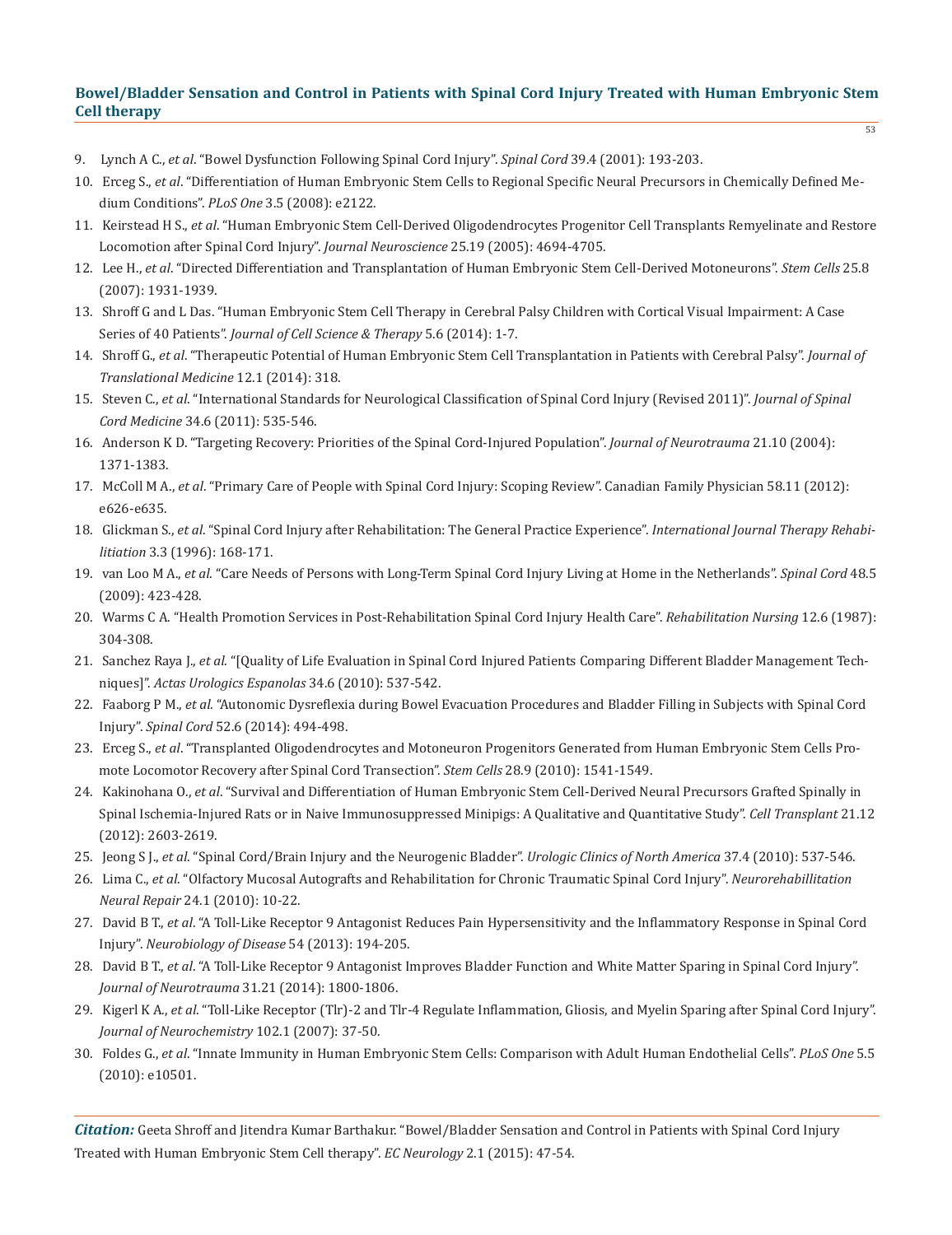- 9. Lynch A C., *et al*. "Bowel Dysfunction Following Spinal Cord Injury". *Spinal Cord* 39.4 (2001): 193-203.
- 10. Erceg S., *et al*. "Differentiation of Human Embryonic Stem Cells to Regional Specific Neural Precursors in Chemically Defined Me dium Conditions". *PLoS One* 3.5 (2008): e2122.
- 11. Keirstead H S., *et al*. "Human Embryonic Stem Cell-Derived Oligodendrocytes Progenitor Cell Transplants Remyelinate and Restore Locomotion after Spinal Cord Injury". *Journal Neuroscience* 25.19 (2005): 4694-4705.
- 12. Lee H., *et al*. "Directed Differentiation and Transplantation of Human Embryonic Stem Cell-Derived Motoneurons". *Stem Cells* 25.8 (2007): 1931-1939.
- 13. Shroff G and L Das. "Human Embryonic Stem Cell Therapy in Cerebral Palsy Children with Cortical Visual Impairment: A Case Series of 40 Patients". *Journal of Cell Science & Therapy* 5.6 (2014): 1-7.
- 14. Shroff G., *et al*. "Therapeutic Potential of Human Embryonic Stem Cell Transplantation in Patients with Cerebral Palsy". *Journal of Translational Medicine* 12.1 (2014): 318.
- 15. Steven C., *et al*. "International Standards for Neurological Classification of Spinal Cord Injury (Revised 2011)". *Journal of Spinal Cord Medicine* 34.6 (2011): 535-546.
- 16. Anderson K D. "Targeting Recovery: Priorities of the Spinal Cord-Injured Population". *Journal of Neurotrauma* 21.10 (2004): 1371-1383.
- 17. McColl M A., *et al*. "Primary Care of People with Spinal Cord Injury: Scoping Review". Canadian Family Physician 58.11 (2012): e626-e635.
- 18. Glickman S., *et al*. "Spinal Cord Injury after Rehabilitation: The General Practice Experience". *International Journal Therapy Rehabi litiation* 3.3 (1996): 168-171.
- 19. van Loo M A., *et al*. "Care Needs of Persons with Long-Term Spinal Cord Injury Living at Home in the Netherlands". *Spinal Cord* 48.5 (2009): 423-428.
- 20. Warms C A. "Health Promotion Services in Post-Rehabilitation Spinal Cord Injury Health Care". *Rehabilitation Nursing* 12.6 (1987): 304-308.
- 21. Sanchez Raya J., *et al*. "[Quality of Life Evaluation in Spinal Cord Injured Patients Comparing Different Bladder Management Tech niques]". *Actas Urologics Espanolas* 34.6 (2010): 537-542.
- 22. Faaborg P M., *et al*. "Autonomic Dysreflexia during Bowel Evacuation Procedures and Bladder Filling in Subjects with Spinal Cord Injury". *Spinal Cord* 52.6 (2014): 494-498.
- 23. Erceg S., *et al*. "Transplanted Oligodendrocytes and Motoneuron Progenitors Generated from Human Embryonic Stem Cells Pro mote Locomotor Recovery after Spinal Cord Transection". *Stem Cells* 28.9 (2010): 1541-1549.
- 24. Kakinohana O., *et al*. "Survival and Differentiation of Human Embryonic Stem Cell-Derived Neural Precursors Grafted Spinally in Spinal Ischemia-Injured Rats or in Naive Immunosuppressed Minipigs: A Qualitative and Quantitative Study". *Cell Transplant* 21.12 (2012): 2603-2619.
- 25. Jeong S J., *et al*. "Spinal Cord/Brain Injury and the Neurogenic Bladder". *Urologic Clinics of North America* 37.4 (2010): 537-546.
- 26. Lima C., *et al*. "Olfactory Mucosal Autografts and Rehabilitation for Chronic Traumatic Spinal Cord Injury". *Neurorehabillitation Neural Repair* 24.1 (2010): 10-22.
- 27. David B T., *et al*. "A Toll-Like Receptor 9 Antagonist Reduces Pain Hypersensitivity and the Inflammatory Response in Spinal Cord Injury". *Neurobiology of Disease* 54 (2013): 194-205.
- 28. David B T., *et al*. "A Toll-Like Receptor 9 Antagonist Improves Bladder Function and White Matter Sparing in Spinal Cord Injury". *Journal of Neurotrauma* 31.21 (2014): 1800-1806.
- 29. Kigerl K A., *et al*. "Toll-Like Receptor (Tlr)-2 and Tlr-4 Regulate Inflammation, Gliosis, and Myelin Sparing after Spinal Cord Injury". *Journal of Neurochemistry* 102.1 (2007): 37-50.
- 30. Foldes G., *et al*. "Innate Immunity in Human Embryonic Stem Cells: Comparison with Adult Human Endothelial Cells". *PLoS One* 5.5 (2010): e10501.